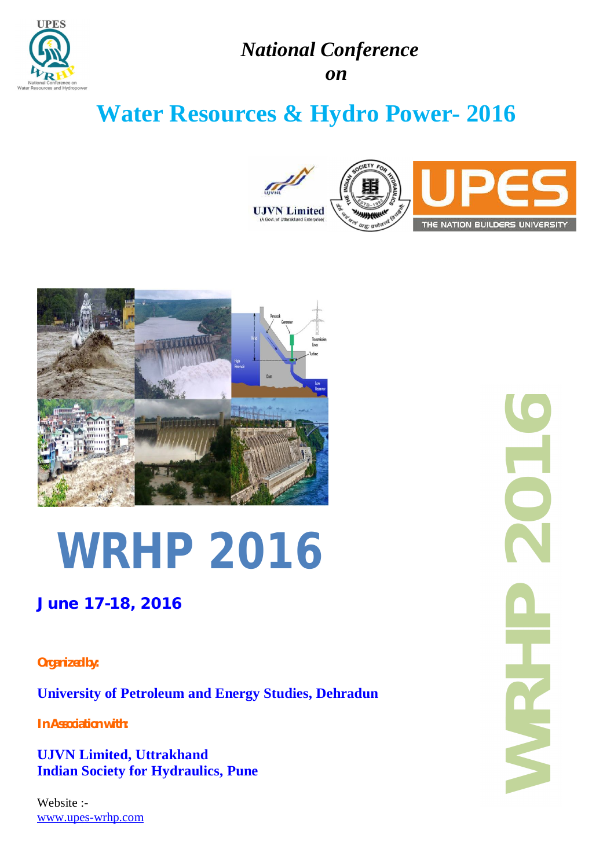

# *National Conference*

*on*

# **Water Resources & Hydro Power- 2016**





# **WRHP 2016**

## **June 17-18, 2016**

## *Organized by:*

**University of Petroleum and Energy Studies, Dehradun**

*In Association with:*

**UJVN Limited, Uttrakhand Indian Society for Hydraulics, Pune**

Website :[www.upes-wrhp.com](http://www.upes-wrhp.com) **WRHP 201**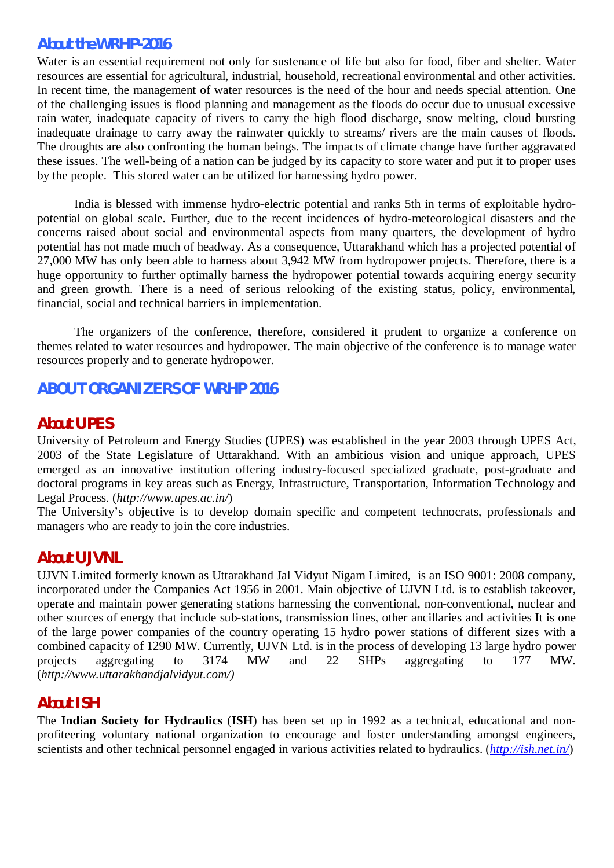## *About the WRHP-2016*

Water is an essential requirement not only for sustenance of life but also for food, fiber and shelter. Water resources are essential for agricultural, industrial, household, recreational environmental and other activities. In recent time, the management of water resources is the need of the hour and needs special attention. One of the challenging issues is flood planning and management as the floods do occur due to unusual excessive rain water, inadequate capacity of rivers to carry the high flood discharge, snow melting, cloud bursting inadequate drainage to carry away the rainwater quickly to streams/ rivers are the main causes of floods. The droughts are also confronting the human beings. The impacts of climate change have further aggravated these issues. The well-being of a nation can be judged by its capacity to store water and put it to proper uses by the people. This stored water can be utilized for harnessing hydro power.

India is blessed with immense hydro-electric potential and ranks 5th in terms of exploitable hydropotential on global scale. Further, due to the recent incidences of hydro-meteorological disasters and the concerns raised about social and environmental aspects from many quarters, the development of hydro potential has not made much of headway. As a consequence, Uttarakhand which has a projected potential of 27,000 MW has only been able to harness about 3,942 MW from hydropower projects. Therefore, there is a huge opportunity to further optimally harness the hydropower potential towards acquiring energy security and green growth. There is a need of serious relooking of the existing status, policy, environmental, financial, social and technical barriers in implementation.

The organizers of the conference, therefore, considered it prudent to organize a conference on themes related to water resources and hydropower. The main objective of the conference is to manage water resources properly and to generate hydropower.

## *ABOUT ORGANIZERS OF WRHP 2016*

## *About UPES*

University of Petroleum and Energy Studies (UPES) was established in the year 2003 through UPES Act, 2003 of the State Legislature of Uttarakhand. With an ambitious vision and unique approach, UPES emerged as an innovative institution offering industry-focused specialized graduate, post-graduate and doctoral programs in key areas such as Energy, Infrastructure, Transportation, Information Technology and Legal Process. (*<http://www.upes.ac.in/>*)

The University's objective is to develop domain specific and competent technocrats, professionals and managers who are ready to join the core industries.

## *About UJVNL*

UJVN Limited formerly known as Uttarakhand Jal Vidyut Nigam Limited, is an ISO 9001: 2008 company, incorporated under the Companies Act 1956 in 2001. Main objective of UJVN Ltd. is to establish takeover, operate and maintain power generating stations harnessing the conventional, non-conventional, nuclear and other sources of energy that include sub-stations, transmission lines, other ancillaries and activities It is one of the large power companies of the country operating 15 hydro power stations of different sizes with a combined capacity of 1290 MW. Currently, UJVN Ltd. is in the process of developing 13 large hydro power projects aggregating to 3174 MW and 22 SHPs aggregating to 177 MW. (*[http://www.uttarakhandjalvidyut.com/\)](http://www.uttarakhandjalvidyut.com/))*

## *About ISH*

The **Indian Society for Hydraulics** (**ISH**) has been set up in 1992 as a technical, educational and nonprofiteering voluntary national organization to encourage and foster understanding amongst engineers, scientists and other technical personnel engaged in various activities related to hydraulics. (*<http://ish.net.in/>*)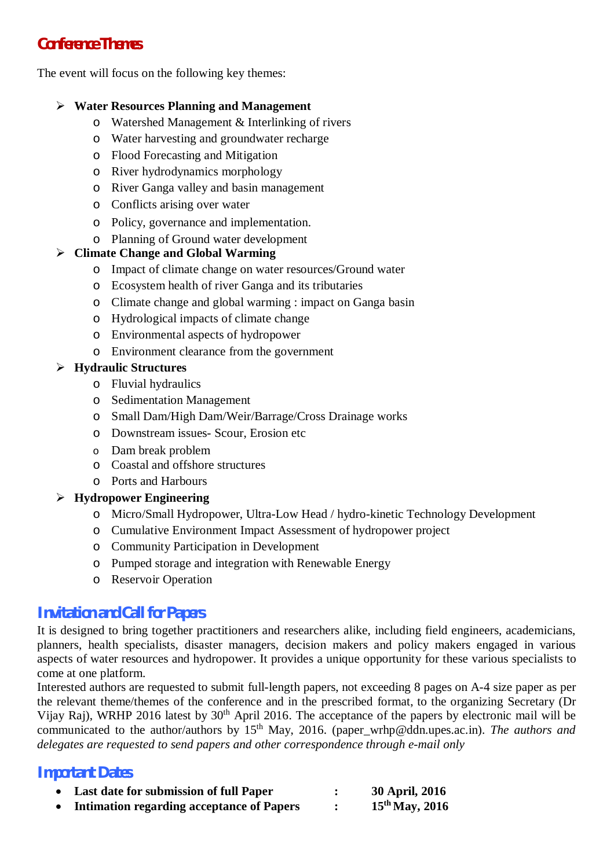## *Conference Themes*

The event will focus on the following key themes:

## **Water Resources Planning and Management**

- o Watershed Management & Interlinking of rivers
- o Water harvesting and groundwater recharge
- o Flood Forecasting and Mitigation
- o River hydrodynamics morphology
- o River Ganga valley and basin management
- o Conflicts arising over water
- o Policy, governance and implementation.
- o Planning of Ground water development

## **Climate Change and Global Warming**

- o Impact of climate change on water resources/Ground water
- o Ecosystem health of river Ganga and its tributaries
- o Climate change and global warming : impact on Ganga basin
- o Hydrological impacts of climate change
- o Environmental aspects of hydropower
- o Environment clearance from the government

## **Hydraulic Structures**

- o Fluvial hydraulics
- o Sedimentation Management
- o Small Dam/High Dam/Weir/Barrage/Cross Drainage works
- o Downstream issues- Scour, Erosion etc
- o Dam break problem
- o Coastal and offshore structures
- o Ports and Harbours

## **Hydropower Engineering**

- o Micro/Small Hydropower, Ultra-Low Head / hydro-kinetic Technology Development
- o Cumulative Environment Impact Assessment of hydropower project
- o Community Participation in Development
- o Pumped storage and integration with Renewable Energy
- o Reservoir Operation

## *Invitation and Call for Papers*

It is designed to bring together practitioners and researchers alike, including field engineers, academicians, planners, health specialists, disaster managers, decision makers and policy makers engaged in various aspects of water resources and hydropower. It provides a unique opportunity for these various specialists to come at one platform.

Interested authors are requested to submit full-length papers, not exceeding 8 pages on A-4 size paper as per the relevant theme/themes of the conference and in the prescribed format, to the organizing Secretary (Dr Vijay Raj), WRHP 2016 latest by  $30<sup>th</sup>$  April 2016. The acceptance of the papers by electronic mail will be communicated to the author/authors by 15<sup>th</sup> May, 2016. [\(paper\\_wrhp@ddn.upes.ac.in\).](mailto:(paper_wrhp@ddn.upes.ac.in).) *The authors and delegates are requested to send papers and other correspondence through e-mail only*

## *Important Dates*

- **Last date for submission of full Paper : 30 April, 2016**
- **Intimation regarding acceptance of Papers : 15thMay, 2016**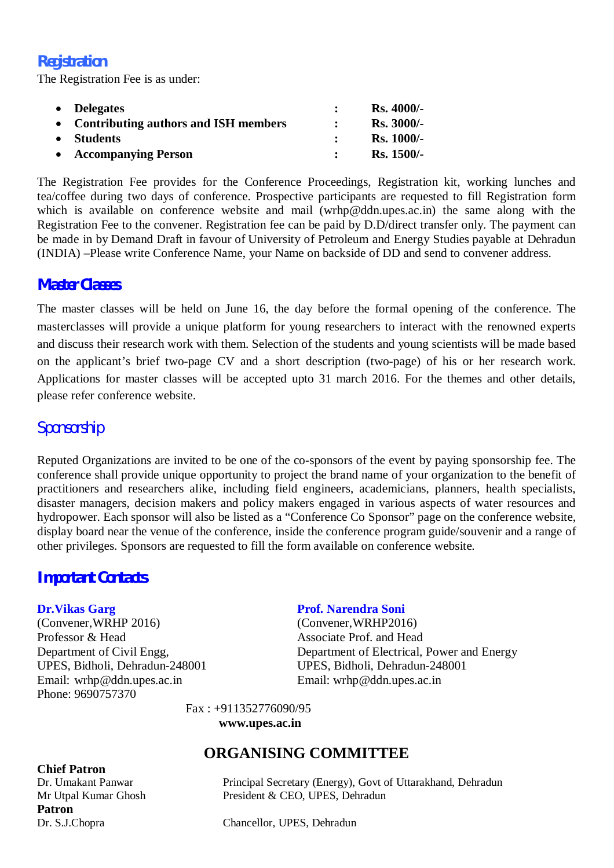## *Registration*

The Registration Fee is as under:

| • Delegates                            | $Rs.4000/-$       |
|----------------------------------------|-------------------|
| • Contributing authors and ISH members | <b>Rs. 3000/-</b> |
| • Students                             | <b>Rs. 1000/-</b> |
| • Accompanying Person                  | <b>Rs.</b> 1500/- |

The Registration Fee provides for the Conference Proceedings, Registration kit, working lunches and tea/coffee during two days of conference. Prospective participants are requested to fill Registration form which is available on conference website and mail [\(wrhp@ddn.upes.ac.in\)](mailto:(wrhp@ddn.upes.ac.in)) the same along with the Registration Fee to the convener. Registration fee can be paid by D.D/direct transfer only. The payment can be made in by Demand Draft in favour of University of Petroleum and Energy Studies payable at Dehradun (INDIA) –Please write Conference Name, your Name on backside of DD and send to convener address.

## *Master Classes*

The master classes will be held on June 16, the day before the formal opening of the conference. The masterclasses will provide a unique platform for young researchers to interact with the renowned experts and discuss their research work with them. Selection of the students and young scientists will be made based on the applicant's brief two-page CV and a short description (two-page) of his or her research work. Applications for master classes will be accepted upto 31 march 2016. For the themes and other details, please refer conference website.

## *Sponsorship*

Reputed Organizations are invited to be one of the co-sponsors of the event by paying sponsorship fee. The conference shall provide unique opportunity to project the brand name of your organization to the benefit of practitioners and researchers alike, including field engineers, academicians, planners, health specialists, disaster managers, decision makers and policy makers engaged in various aspects of water resources and hydropower. Each sponsor will also be listed as a "Conference Co Sponsor" page on the conference website, display board near the venue of the conference, inside the conference program guide/souvenir and a range of other privileges. Sponsors are requested to fill the form available on conference website.

## *Important Contacts*

(Convener,WRHP 2016) (Convener,WRHP2016) Professor & Head Associate Prof. and Head UPES, Bidholi, Dehradun-248001 UPES, Bidholi, Dehradun-248001 Email: [wrhp@ddn.upes.ac.in](mailto:wrhp@ddn.upes.ac.in) Email: [wrhp@ddn.upes.ac.in](mailto:wrhp@ddn.upes.ac.in) Phone: 9690757370

#### **Dr.Vikas Garg Prof. Narendra Soni**

Department of Civil Engg, Department of Electrical, Power and Energy

Fax : +911352776090/95

**[www.upes.ac.in](http://www.upes.ac.in)**

## **Chief Patron**

Patron<br>Dr. S.J.Chopra

## **ORGANISING COMMITTEE**

Dr. Umakant Panwar Principal Secretary (Energy), Govt of Uttarakhand, Dehradun Mr Utpal Kumar Ghosh President & CEO, UPES, Dehradun

Chancellor, UPES, Dehradun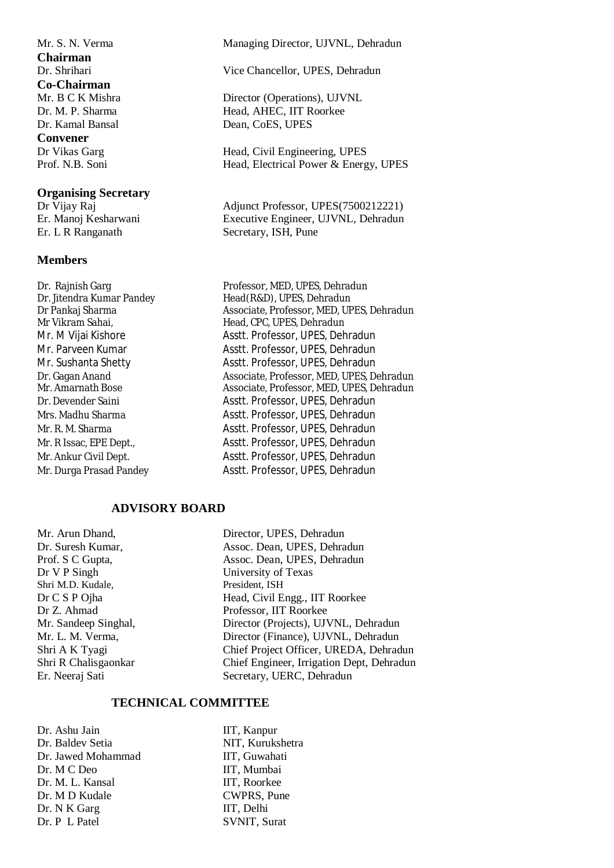**Chairman Co-Chairman** Dr. Kamal Bansal Dean, CoES, UPES **Convener**<br>Dr Vikas Garg

#### **Organising Secretary**

#### **Members**

#### Mr. S. N. Verma Managing Director, UJVNL, Dehradun

Dr. Shrihari Vice Chancellor, UPES, Dehradun

Mr. B C K Mishra Director (Operations), UJVNL Dr. M. P. Sharma Head, AHEC, IIT Roorkee

Head, Civil Engineering, UPES Prof. N.B. Soni Head, Electrical Power & Energy, UPES

Dr Vijay Raj Adjunct Professor, UPES(7500212221) Er. Manoj Kesharwani Executive Engineer, UJVNL, Dehradun Er. L R Ranganath Secretary, ISH, Pune Secretary, ISH, Pune

Dr. Rajnish Garg Professor, MED, UPES, Dehradun Dr. Jitendra Kumar Pandey Head(R&D), UPES, Dehradun Dr Pankaj Sharma Associate, Professor, MED, UPES, Dehradun Mr Vikram Sahai, Thead, CPC, UPES, Dehradun Mr. M Vijai Kishore Asstt. Professor, UPES, Dehradun Mr. Parveen Kumar Asstt. Professor, UPES, Dehradun Mr. Sushanta Shetty Asstt. Professor, UPES, Dehradun Dr. Gagan Anand Associate, Professor, MED, UPES, Dehradun Mr. Amarnath Bose Associate, Professor, MED, UPES, Dehradun Dr. Devender Saini Asstt. Professor, UPES, Dehradun Mrs. Madhu Sharma Asstt. Professor, UPES, Dehradun Mr. R. M. Sharma **Asstt. Professor, UPES, Dehradun** Mr. R Issac, EPE Dept., Asstt. Professor, UPES, Dehradun Mr. Ankur Civil Dept. Asstt. Professor, UPES, Dehradun Mr. Durga Prasad Pandey Asstt. Professor, UPES, Dehradun

#### **ADVISORY BOARD**

Mr. Arun Dhand, Director, UPES, Dehradun Dr V P Singh University of Texas Shri M.D. Kudale,

Dr. Suresh Kumar, Assoc. Dean, UPES, Dehradun Prof. S C Gupta, Assoc. Dean, UPES, Dehradun Dr C S P Ojha Head, Civil Engg., IIT Roorkee Dr Z. Ahmad Professor, IIT Roorkee Mr. Sandeep Singhal, Director (Projects), UJVNL, Dehradun Mr. L. M. Verma, Director (Finance), UJVNL, Dehradun Shri A K Tyagi Chief Project Officer, UREDA, Dehradun Shri R Chalisgaonkar Chief Engineer, Irrigation Dept, Dehradun Er. Neeraj Sati Secretary, UERC, Dehradun

#### **TECHNICAL COMMITTEE**

Dr. Ashu Jain IIT, Kanpur Dr. Baldev Setia NIT, Kurukshetra Dr. Jawed Mohammad IIT, Guwahati Dr. M C Deo IIT, Mumbai Dr. M. L. Kansal IIT, Roorkee Dr. M D Kudale CWPRS, Pune Dr. N K Garg IIT, Delhi Dr. P L Patel SVNIT, Surat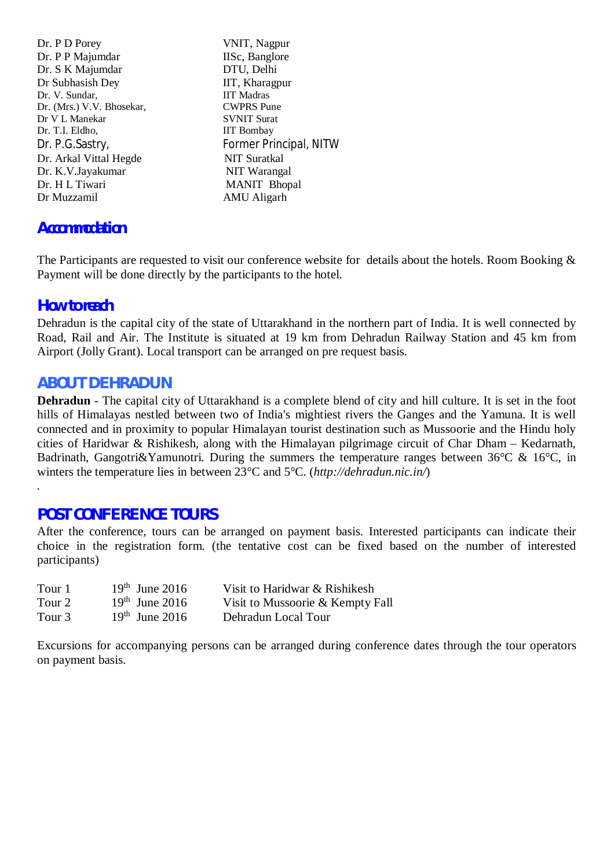Dr. P D Porey VNIT, Nagpur Dr. P P Majumdar IISc, Banglore Dr. S K Majumdar DTU, Delhi Dr Subhasish Dey IIT, Kharagpur Dr. V. Sundar, IIT Madras Dr. (Mrs.) V.V. Bhosekar, CWPRS Pune<br>
Dr V L Manekar SVNIT Surat Dr V L Manekar Dr. T.I. Eldho, IIT Bombay Dr. Arkal Vittal Hegde NIT Suratkal Dr. K.V.Jayakumar NIT Warangal Dr. H L Tiwari MANIT Bhopal Dr Muzzamil AMU Aligarh

Dr. P.G.Sastry, Former Principal, NITW

## *Accommodation*

The Participants are requested to visit our conference website for details about the hotels. Room Booking & Payment will be done directly by the participants to the hotel.

## *How to reach*

Dehradun is the capital city of the state of Uttarakhand in the northern part of India. It is well connected by Road, Rail and Air. The Institute is situated at 19 km from Dehradun Railway Station and 45 km from Airport (Jolly Grant). Local transport can be arranged on pre request basis.

## *ABOUT DEHRADUN*

**Dehradun** - The capital city of Uttarakhand is a complete blend of city and hill culture. It is set in the foot hills of Himalayas nestled between two of India's mightiest rivers the Ganges and the Yamuna. It is well connected and in proximity to popular Himalayan tourist destination such as Mussoorie and the Hindu holy cities of Haridwar & Rishikesh, along with the Himalayan pilgrimage circuit of Char Dham – Kedarnath, Badrinath, Gangotri&Yamunotri. During the summers the temperature ranges between  $36^{\circ}$ C &  $16^{\circ}$ C, in winters the temperature lies in between 23°C and 5°C. (*<http://dehradun.nic.in/>*)

## *.*

## *POST CONFERENCE TOURS*

After the conference, tours can be arranged on payment basis. Interested participants can indicate their choice in the registration form. (the tentative cost can be fixed based on the number of interested participants)

| Tour 1 | $19th$ June 2016 | Visit to Haridwar & Rishikesh    |
|--------|------------------|----------------------------------|
| Tour 2 | $19th$ June 2016 | Visit to Mussoorie & Kempty Fall |
| Tour 3 | $19th$ June 2016 | Dehradun Local Tour              |

Excursions for accompanying persons can be arranged during conference dates through the tour operators on payment basis.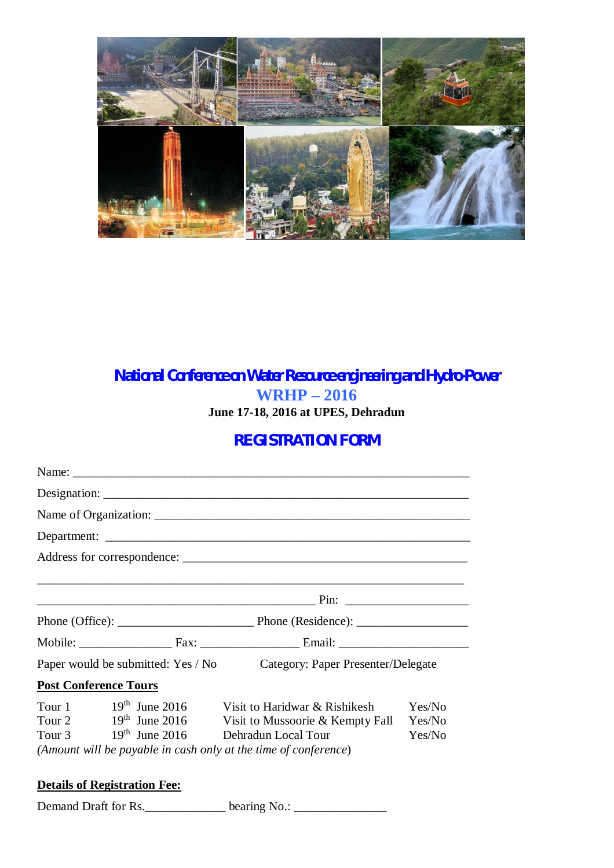

## *National Conference on Water Resource engineering and Hydro-Power* **WRHP – 2016 June 17-18, 2016 at UPES, Dehradun**

## *REGISTRATION FORM*

| Paper would be submitted: Yes / No                                                                                                                  | Category: Paper Presenter/Delegate                                                       |                            |
|-----------------------------------------------------------------------------------------------------------------------------------------------------|------------------------------------------------------------------------------------------|----------------------------|
| <b>Post Conference Tours</b>                                                                                                                        |                                                                                          |                            |
| Tour 1 $19th$ June 2016<br>Tour 2<br>$19th$ June 2016<br>Tour 3 $19th$ June 2016<br>(Amount will be payable in cash only at the time of conference) | Visit to Haridwar & Rishikesh<br>Visit to Mussoorie & Kempty Fall<br>Dehradun Local Tour | Yes/No<br>Yes/No<br>Yes/No |
| $\mathbf{D}$ is the contract of $\mathbf{D}$                                                                                                        |                                                                                          |                            |

## **Details of Registration Fee:**

Demand Draft for Rs. \_\_\_\_\_\_\_\_\_\_\_\_\_\_\_ bearing No.: \_\_\_\_\_\_\_\_\_\_\_\_\_\_\_\_\_\_\_\_\_\_\_\_\_\_\_\_\_\_\_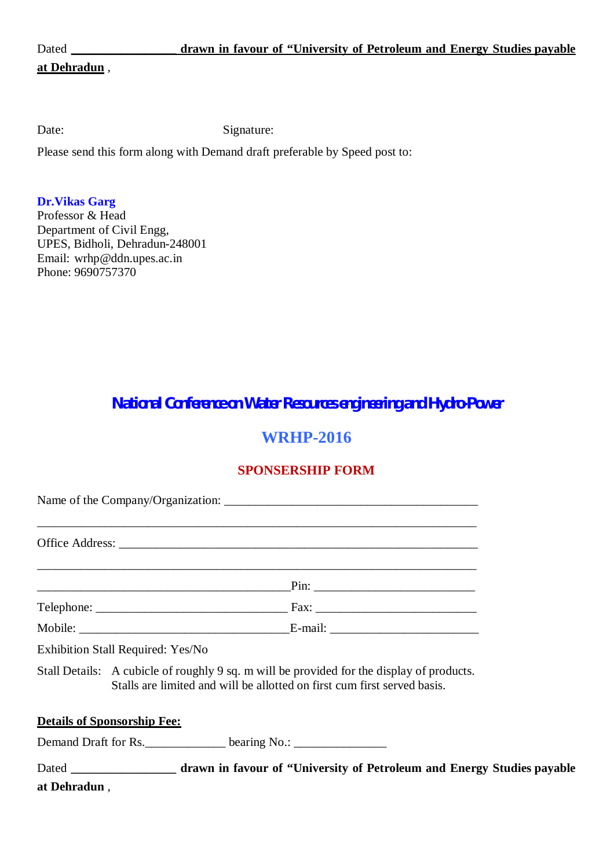| Г<br>L<br>۰.<br>Ч |
|-------------------|
|-------------------|

### **at Dehradun** ,

Date: Signature:

Please send this form along with Demand draft preferable by Speed post to:

#### **Dr.Vikas Garg**

Professor & Head Department of Civil Engg, UPES, Bidholi, Dehradun-248001 Email: [wrhp@ddn.upes.ac.in](mailto:wrhp@ddn.upes.ac.in) Phone: 9690757370

*National Conference on Water Resources engineering and Hydro-Power*

## **WRHP-2016**

## **SPONSERSHIP FORM**

Name of the Company/Organization: \_\_\_\_\_\_\_\_\_\_\_\_\_\_\_\_\_\_\_\_\_\_\_\_\_\_\_\_\_\_\_\_\_\_\_\_\_\_\_\_\_ \_\_\_\_\_\_\_\_\_\_\_\_\_\_\_\_\_\_\_\_\_\_\_\_\_\_\_\_\_\_\_\_\_\_\_\_\_\_\_\_\_\_\_\_\_\_\_\_\_\_\_\_\_\_\_\_\_\_\_\_\_\_\_\_\_\_\_\_\_\_\_ Office Address: \_\_\_\_\_\_\_\_\_\_\_\_\_\_\_\_\_\_\_\_\_\_\_\_\_\_\_\_\_\_\_\_\_\_\_\_\_\_\_\_\_\_\_\_\_\_\_\_\_\_\_\_\_\_\_\_\_\_\_\_\_\_\_\_\_\_\_\_\_\_\_  $\text{Pin:}$   $\Box$ Telephone: \_\_\_\_\_\_\_\_\_\_\_\_\_\_\_\_\_\_\_\_\_\_\_\_\_\_\_\_\_\_\_ Fax: \_\_\_\_\_\_\_\_\_\_\_\_\_\_\_\_\_\_\_\_\_\_\_\_\_\_ Mobile: \_\_\_\_\_\_\_\_\_\_\_\_\_\_\_\_\_\_\_\_\_\_\_\_\_\_\_\_\_\_\_\_\_\_E-mail: \_\_\_\_\_\_\_\_\_\_\_\_\_\_\_\_\_\_\_\_\_\_\_\_ Exhibition Stall Required: Yes/No Stall Details: A cubicle of roughly 9 sq. m will be provided for the display of products. Stalls are limited and will be allotted on first cum first served basis. **Details of Sponsorship Fee:** Demand Draft for Rs. \_\_\_\_\_\_\_\_\_\_\_\_\_\_\_ bearing No.: \_\_\_\_\_\_\_\_\_\_\_\_\_\_\_\_\_\_\_\_\_\_\_\_\_\_\_\_\_\_

Dated **\_\_\_\_\_\_\_\_\_\_\_\_\_\_\_\_\_ drawn in favour of "University of Petroleum and Energy Studies payable at Dehradun** ,